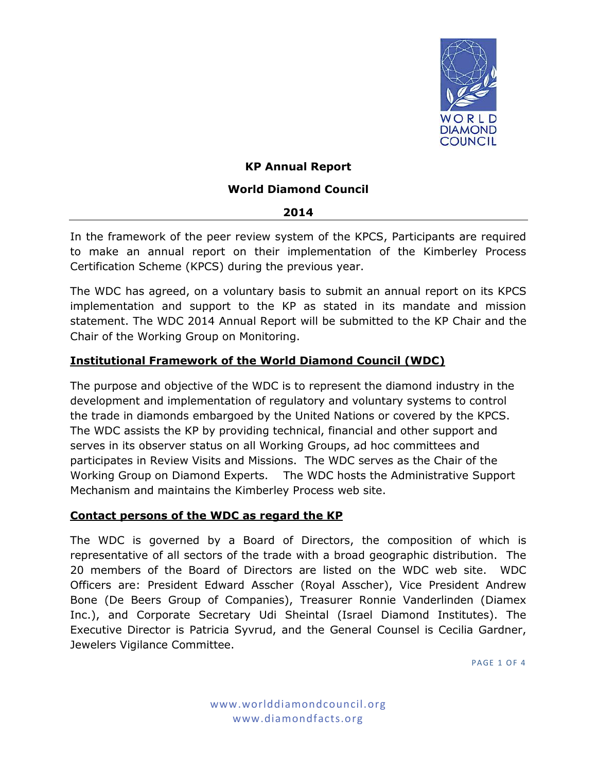

## **KP Annual Report**

### **World Diamond Council**

#### **2014**

In the framework of the peer review system of the KPCS, Participants are required to make an annual report on their implementation of the Kimberley Process Certification Scheme (KPCS) during the previous year.

The WDC has agreed, on a voluntary basis to submit an annual report on its KPCS implementation and support to the KP as stated in its mandate and mission statement. The WDC 2014 Annual Report will be submitted to the KP Chair and the Chair of the Working Group on Monitoring.

## **Institutional Framework of the World Diamond Council (WDC)**

The purpose and objective of the WDC is to represent the diamond industry in the development and implementation of regulatory and voluntary systems to control the trade in diamonds embargoed by the United Nations or covered by the KPCS. The WDC assists the KP by providing technical, financial and other support and serves in its observer status on all Working Groups, ad hoc committees and participates in Review Visits and Missions. The WDC serves as the Chair of the Working Group on Diamond Experts. The WDC hosts the Administrative Support Mechanism and maintains the Kimberley Process web site.

#### **Contact persons of the WDC as regard the KP**

The WDC is governed by a Board of Directors, the composition of which is representative of all sectors of the trade with a broad geographic distribution. The 20 members of the Board of Directors are listed on the WDC web site. WDC Officers are: President Edward Asscher (Royal Asscher), Vice President Andrew Bone (De Beers Group of Companies), Treasurer Ronnie Vanderlinden (Diamex Inc.), and Corporate Secretary Udi Sheintal (Israel Diamond Institutes). The Executive Director is Patricia Syvrud, and the General Counsel is Cecilia Gardner, Jewelers Vigilance Committee.

**PAGE 1 OF 4**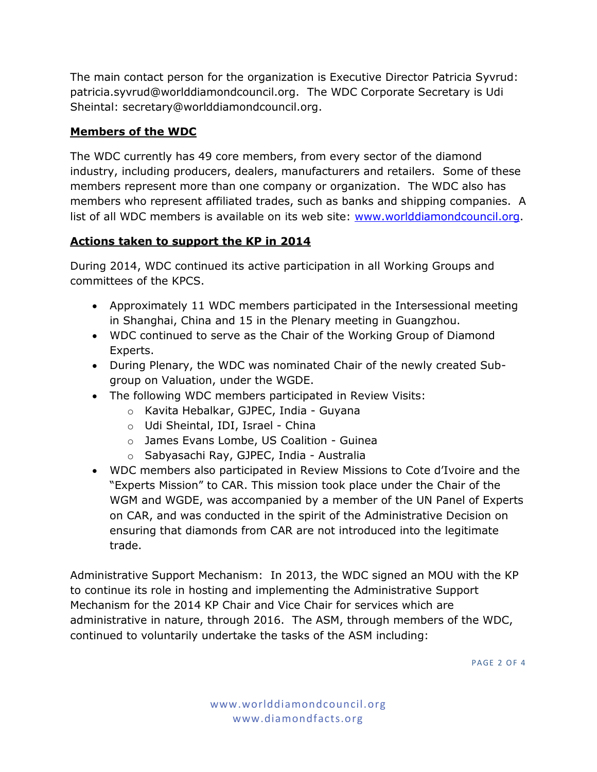The main contact person for the organization is Executive Director Patricia Syvrud: patricia.syvrud@worlddiamondcouncil.org. The WDC Corporate Secretary is Udi Sheintal: [secretary@worlddiamondcouncil.org.](mailto:secretary@worlddiamondcouncil.org)

# **Members of the WDC**

The WDC currently has 49 core members, from every sector of the diamond industry, including producers, dealers, manufacturers and retailers. Some of these members represent more than one company or organization. The WDC also has members who represent affiliated trades, such as banks and shipping companies. A list of all WDC members is available on its web site: [www.worlddiamondcouncil.org.](http://www.worlddiamondcouncil.org/)

# **Actions taken to support the KP in 2014**

During 2014, WDC continued its active participation in all Working Groups and committees of the KPCS.

- Approximately 11 WDC members participated in the Intersessional meeting in Shanghai, China and 15 in the Plenary meeting in Guangzhou.
- WDC continued to serve as the Chair of the Working Group of Diamond Experts.
- During Plenary, the WDC was nominated Chair of the newly created Subgroup on Valuation, under the WGDE.
- The following WDC members participated in Review Visits:
	- o Kavita Hebalkar, GJPEC, India Guyana
	- o Udi Sheintal, IDI, Israel China
	- o James Evans Lombe, US Coalition Guinea
	- o Sabyasachi Ray, GJPEC, India Australia
- WDC members also participated in Review Missions to Cote d'Ivoire and the "Experts Mission" to CAR. This mission took place under the Chair of the WGM and WGDE, was accompanied by a member of the UN Panel of Experts on CAR, and was conducted in the spirit of the Administrative Decision on ensuring that diamonds from CAR are not introduced into the legitimate trade.

Administrative Support Mechanism: In 2013, the WDC signed an MOU with the KP to continue its role in hosting and implementing the Administrative Support Mechanism for the 2014 KP Chair and Vice Chair for services which are administrative in nature, through 2016. The ASM, through members of the WDC, continued to voluntarily undertake the tasks of the ASM including:

**PAGE 2 OF 4**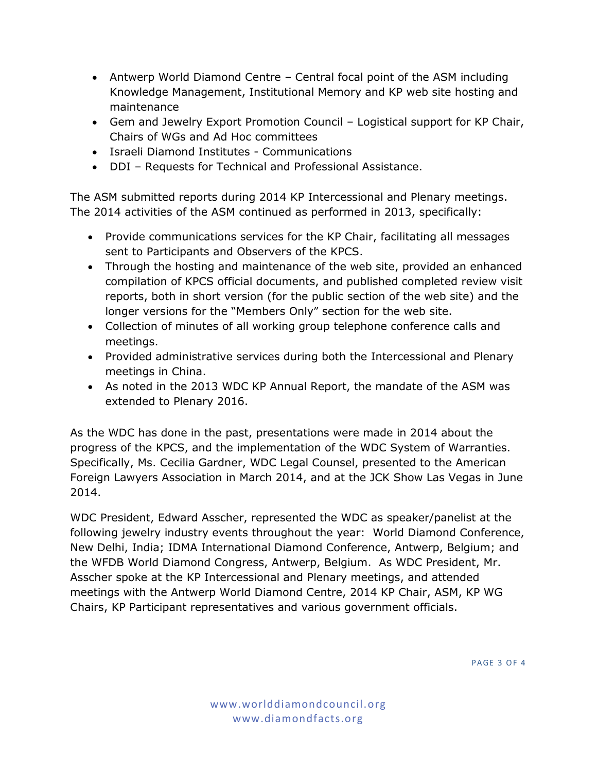- Antwerp World Diamond Centre Central focal point of the ASM including Knowledge Management, Institutional Memory and KP web site hosting and maintenance
- Gem and Jewelry Export Promotion Council Logistical support for KP Chair, Chairs of WGs and Ad Hoc committees
- Israeli Diamond Institutes Communications
- DDI Requests for Technical and Professional Assistance.

The ASM submitted reports during 2014 KP Intercessional and Plenary meetings. The 2014 activities of the ASM continued as performed in 2013, specifically:

- Provide communications services for the KP Chair, facilitating all messages sent to Participants and Observers of the KPCS.
- Through the hosting and maintenance of the web site, provided an enhanced compilation of KPCS official documents, and published completed review visit reports, both in short version (for the public section of the web site) and the longer versions for the "Members Only" section for the web site.
- Collection of minutes of all working group telephone conference calls and meetings.
- Provided administrative services during both the Intercessional and Plenary meetings in China.
- As noted in the 2013 WDC KP Annual Report, the mandate of the ASM was extended to Plenary 2016.

As the WDC has done in the past, presentations were made in 2014 about the progress of the KPCS, and the implementation of the WDC System of Warranties. Specifically, Ms. Cecilia Gardner, WDC Legal Counsel, presented to the American Foreign Lawyers Association in March 2014, and at the JCK Show Las Vegas in June 2014.

WDC President, Edward Asscher, represented the WDC as speaker/panelist at the following jewelry industry events throughout the year: World Diamond Conference, New Delhi, India; IDMA International Diamond Conference, Antwerp, Belgium; and the WFDB World Diamond Congress, Antwerp, Belgium. As WDC President, Mr. Asscher spoke at the KP Intercessional and Plenary meetings, and attended meetings with the Antwerp World Diamond Centre, 2014 KP Chair, ASM, KP WG Chairs, KP Participant representatives and various government officials.

**PAGE 3 OF 4**